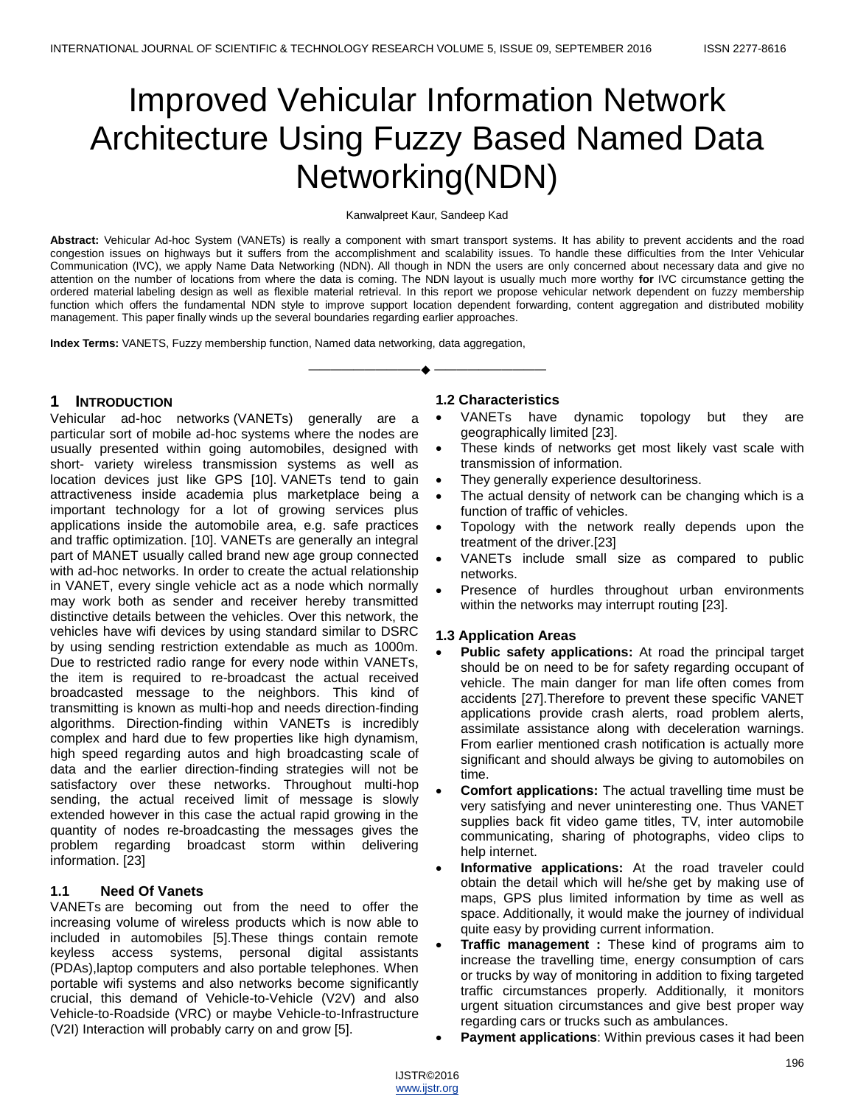# Improved Vehicular Information Network Architecture Using Fuzzy Based Named Data Networking(NDN)

Kanwalpreet Kaur, Sandeep Kad

**Abstract:** Vehicular Ad-hoc System (VANETs) is really a component with smart transport systems. It has ability to prevent accidents and the road congestion issues on highways but it suffers from the accomplishment and scalability issues. To handle these difficulties from the Inter Vehicular Communication (IVC), we apply Name Data Networking (NDN). All though in NDN the users are only concerned about necessary data and give no attention on the number of locations from where the data is coming. The NDN layout is usually much more worthy **for** IVC circumstance getting the ordered material labeling design as well as flexible material retrieval. In this report we propose vehicular network dependent on fuzzy membership function which offers the fundamental NDN style to improve support location dependent forwarding, content aggregation and distributed mobility management. This paper finally winds up the several boundaries regarding earlier approaches.

—————————— ——————————

**Index Terms:** VANETS, Fuzzy membership function, Named data networking, data aggregation,

## **1 INTRODUCTION**

Vehicular ad-hoc networks (VANETs) generally are a particular sort of mobile ad-hoc systems where the nodes are usually presented within going automobiles, designed with short- variety wireless transmission systems as well as location devices just like GPS [10]. VANETs tend to gain attractiveness inside academia plus marketplace being a important technology for a lot of growing services plus applications inside the automobile area, e.g. safe practices and traffic optimization. [10]. VANETs are generally an integral part of MANET usually called brand new age group connected with ad-hoc networks. In order to create the actual relationship in VANET, every single vehicle act as a node which normally may work both as sender and receiver hereby transmitted distinctive details between the vehicles. Over this network, the vehicles have wifi devices by using standard similar to DSRC by using sending restriction extendable as much as 1000m. Due to restricted radio range for every node within VANETs, the item is required to re-broadcast the actual received broadcasted message to the neighbors. This kind of transmitting is known as multi-hop and needs direction-finding algorithms. Direction-finding within VANETs is incredibly complex and hard due to few properties like high dynamism, high speed regarding autos and high broadcasting scale of data and the earlier direction-finding strategies will not be satisfactory over these networks. Throughout multi-hop sending, the actual received limit of message is slowly extended however in this case the actual rapid growing in the quantity of nodes re-broadcasting the messages gives the problem regarding broadcast storm within delivering information. [23]

### **1.1 Need Of Vanets**

VANETs are becoming out from the need to offer the increasing volume of wireless products which is now able to included in automobiles [5].These things contain remote keyless access systems, personal digital assistants (PDAs),laptop computers and also portable telephones. When portable wifi systems and also networks become significantly crucial, this demand of Vehicle-to-Vehicle (V2V) and also Vehicle-to-Roadside (VRC) or maybe Vehicle-to-Infrastructure (V2I) Interaction will probably carry on and grow [5].

### **1.2 Characteristics**

- VANETs have dynamic topology but they are geographically limited [23].
- These kinds of networks get most likely vast scale with transmission of information.
- They generally experience desultoriness.
- The actual density of network can be changing which is a function of traffic of vehicles.
- Topology with the network really depends upon the treatment of the driver.[23]
- VANETs include small size as compared to public networks.
- Presence of hurdles throughout urban environments within the networks may interrupt routing [23].

### **1.3 Application Areas**

- **Public safety applications:** At road the principal target should be on need to be for safety regarding occupant of vehicle. The main danger for man life often comes from accidents [27].Therefore to prevent these specific VANET applications provide crash alerts, road problem alerts, assimilate assistance along with deceleration warnings. From earlier mentioned crash notification is actually more significant and should always be giving to automobiles on time.
- **Comfort applications:** The actual travelling time must be very satisfying and never uninteresting one. Thus VANET supplies back fit video game titles, TV, inter automobile communicating, sharing of photographs, video clips to help internet.
- **Informative applications:** At the road traveler could obtain the detail which will he/she get by making use of maps, GPS plus limited information by time as well as space. Additionally, it would make the journey of individual quite easy by providing current information.
- **Traffic management :** These kind of programs aim to increase the travelling time, energy consumption of cars or trucks by way of monitoring in addition to fixing targeted traffic circumstances properly. Additionally, it monitors urgent situation circumstances and give best proper way regarding cars or trucks such as ambulances.
- **Payment applications**: Within previous cases it had been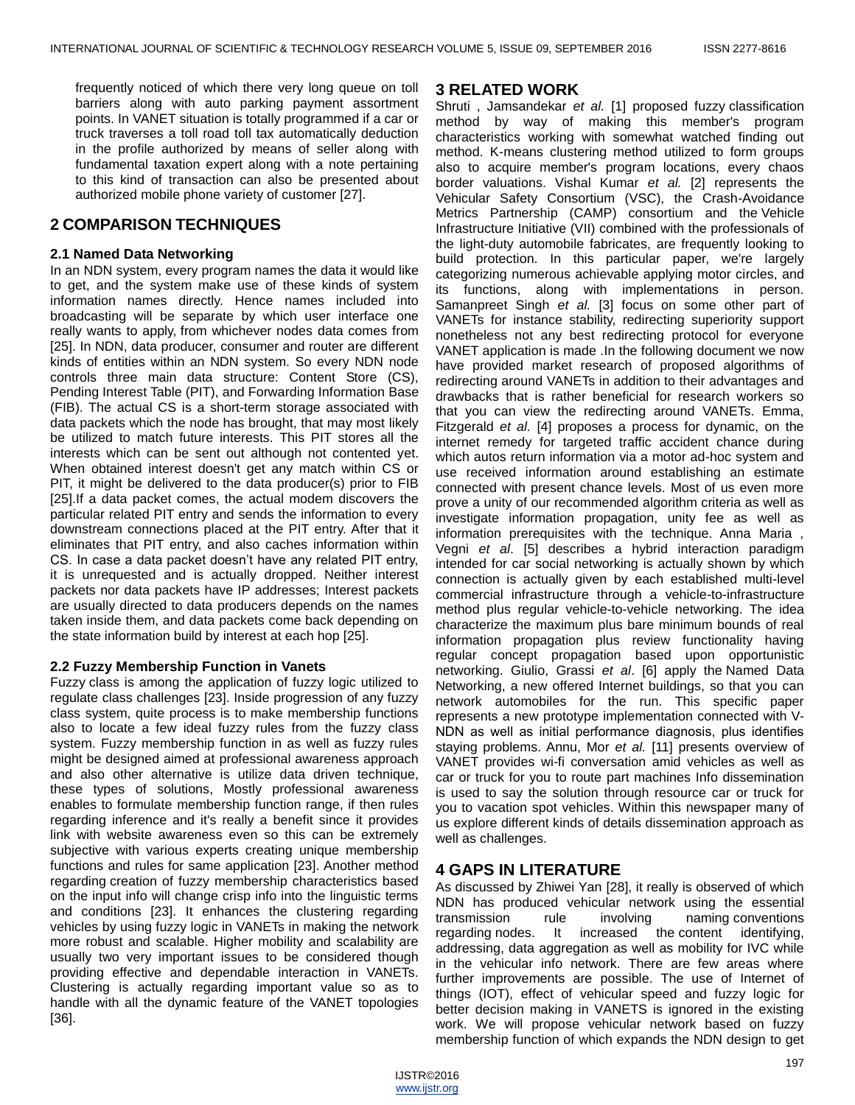frequently noticed of which there very long queue on toll barriers along with auto parking payment assortment points. In VANET situation is totally programmed if a car or truck traverses a toll road toll tax automatically deduction in the profile authorized by means of seller along with fundamental taxation expert along with a note pertaining to this kind of transaction can also be presented about authorized mobile phone variety of customer [27].

## **2 COMPARISON TECHNIQUES**

### **2.1 Named Data Networking**

In an NDN system, every program names the data it would like to get, and the system make use of these kinds of system information names directly. Hence names included into broadcasting will be separate by which user interface one really wants to apply, from whichever nodes data comes from [25]. In NDN, data producer, consumer and router are different kinds of entities within an NDN system. So every NDN node controls three main data structure: Content Store (CS), Pending Interest Table (PIT), and Forwarding Information Base (FIB). The actual CS is a short-term storage associated with data packets which the node has brought, that may most likely be utilized to match future interests. This PIT stores all the interests which can be sent out although not contented yet. When obtained interest doesn't get any match within CS or PIT, it might be delivered to the data producer(s) prior to FIB [25].If a data packet comes, the actual modem discovers the particular related PIT entry and sends the information to every downstream connections placed at the PIT entry. After that it eliminates that PIT entry, and also caches information within CS. In case a data packet doesn't have any related PIT entry, it is unrequested and is actually dropped. Neither interest packets nor data packets have IP addresses; Interest packets are usually directed to data producers depends on the names taken inside them, and data packets come back depending on the state information build by interest at each hop [25].

### **2.2 Fuzzy Membership Function in Vanets**

Fuzzy class is among the application of fuzzy logic utilized to regulate class challenges [23]. Inside progression of any fuzzy class system, quite process is to make membership functions also to locate a few ideal fuzzy rules from the fuzzy class system. Fuzzy membership function in as well as fuzzy rules might be designed aimed at professional awareness approach and also other alternative is utilize data driven technique, these types of solutions, Mostly professional awareness enables to formulate membership function range, if then rules regarding inference and it's really a benefit since it provides link with website awareness even so this can be extremely subjective with various experts creating unique membership functions and rules for same application [23]. Another method regarding creation of fuzzy membership characteristics based on the input info will change crisp info into the linguistic terms and conditions [23]. It enhances the clustering regarding vehicles by using fuzzy logic in VANETs in making the network more robust and scalable. Higher mobility and scalability are usually two very important issues to be considered though providing effective and dependable interaction in VANETs. Clustering is actually regarding important value so as to handle with all the dynamic feature of the VANET topologies [36].

## **3 RELATED WORK**

Shruti , Jamsandekar *et al.* [1] proposed fuzzy classification method by way of making this member's program characteristics working with somewhat watched finding out method. K-means clustering method utilized to form groups also to acquire member's program locations, every chaos border valuations. Vishal Kumar *et al.* [2] represents the Vehicular Safety Consortium (VSC), the Crash-Avoidance Metrics Partnership (CAMP) consortium and the Vehicle Infrastructure Initiative (VII) combined with the professionals of the light-duty automobile fabricates, are frequently looking to build protection. In this particular paper, we're largely categorizing numerous achievable applying motor circles, and its functions, along with implementations in person. Samanpreet Singh *et al.* [3] focus on some other part of VANETs for instance stability, redirecting superiority support nonetheless not any best redirecting protocol for everyone VANET application is made .In the following document we now have provided market research of proposed algorithms of redirecting around VANETs in addition to their advantages and drawbacks that is rather beneficial for research workers so that you can view the redirecting around VANETs. Emma, Fitzgerald *et al.* [4] proposes a process for dynamic, on the internet remedy for targeted traffic accident chance during which autos return information via a motor ad-hoc system and use received information around establishing an estimate connected with present chance levels. Most of us even more prove a unity of our recommended algorithm criteria as well as investigate information propagation, unity fee as well as information prerequisites with the technique. Anna Maria , Vegni *et al*. [5] describes a hybrid interaction paradigm intended for car social networking is actually shown by which connection is actually given by each established multi-level commercial infrastructure through a vehicle-to-infrastructure method plus regular vehicle-to-vehicle networking. The idea characterize the maximum plus bare minimum bounds of real information propagation plus review functionality having regular concept propagation based upon opportunistic networking. Giulio, Grassi *et al*. [6] apply the Named Data Networking, a new offered Internet buildings, so that you can network automobiles for the run. This specific paper represents a new prototype implementation connected with V-NDN as well as initial performance diagnosis, plus identifies staying problems. Annu, Mor *et al.* [11] presents overview of VANET provides wi-fi conversation amid vehicles as well as car or truck for you to route part machines Info dissemination is used to say the solution through resource car or truck for you to vacation spot vehicles. Within this newspaper many of us explore different kinds of details dissemination approach as well as challenges.

## **4 GAPS IN LITERATURE**

As discussed by Zhiwei Yan [28], it really is observed of which NDN has produced vehicular network using the essential transmission rule involving naming conventions regarding nodes. It increased the content identifying, addressing, data aggregation as well as mobility for IVC while in the vehicular info network. There are few areas where further improvements are possible. The use of Internet of things (IOT), effect of vehicular speed and fuzzy logic for better decision making in VANETS is ignored in the existing work. We will propose vehicular network based on fuzzy membership function of which expands the NDN design to get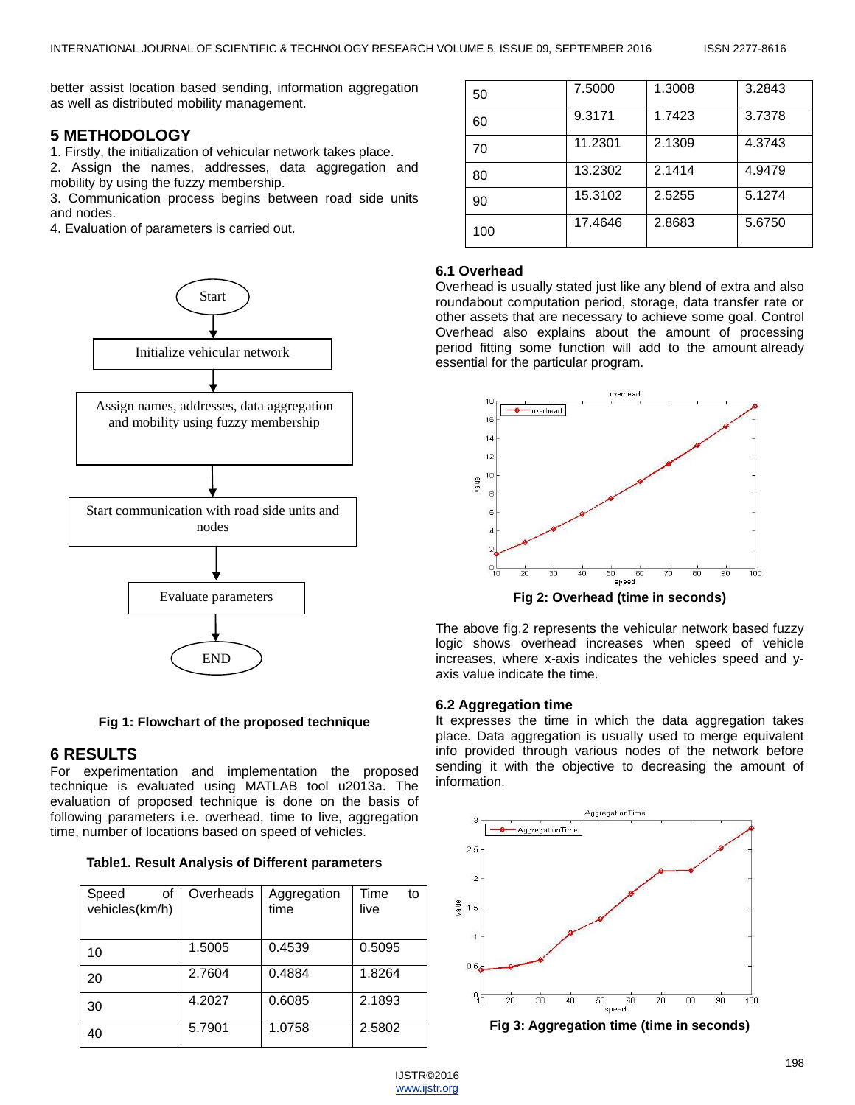better assist location based sending, information aggregation as well as distributed mobility management.

## **5 METHODOLOGY**

1. Firstly, the initialization of vehicular network takes place.

2. Assign the names, addresses, data aggregation and mobility by using the fuzzy membership.

3. Communication process begins between road side units and nodes.

4. Evaluation of parameters is carried out.



**Fig 1: Flowchart of the proposed technique**

## **6 RESULTS**

For experimentation and implementation the proposed technique is evaluated using MATLAB tool u2013a. The evaluation of proposed technique is done on the basis of following parameters i.e. overhead, time to live, aggregation time, number of locations based on speed of vehicles.

| Speed<br>οf<br>vehicles(km/h) | Overheads | Aggregation<br>time | Time<br>to<br>live |
|-------------------------------|-----------|---------------------|--------------------|
| 10                            | 1.5005    | 0.4539              | 0.5095             |
| 20                            | 2.7604    | 0.4884              | 1.8264             |
| 30                            | 4.2027    | 0.6085              | 2.1893             |
| 40                            | 5.7901    | 1.0758              | 2.5802             |

| 50  | 7.5000  | 1.3008 | 3.2843 |
|-----|---------|--------|--------|
| 60  | 9.3171  | 1.7423 | 3.7378 |
| 70  | 11.2301 | 2.1309 | 4.3743 |
| 80  | 13.2302 | 2.1414 | 4.9479 |
| 90  | 15.3102 | 2.5255 | 5.1274 |
| 100 | 17.4646 | 2.8683 | 5.6750 |

### **6.1 Overhead**

Overhead is usually stated just like any blend of extra and also roundabout computation period, storage, data transfer rate or other assets that are necessary to achieve some goal. Control Overhead also explains about the amount of processing period fitting some function will add to the amount already essential for the particular program.



**Fig 2: Overhead (time in seconds)**

The above fig.2 represents the vehicular network based fuzzy logic shows overhead increases when speed of vehicle increases, where x-axis indicates the vehicles speed and yaxis value indicate the time.

### **6.2 Aggregation time**

It expresses the time in which the data aggregation takes place. Data aggregation is usually used to merge equivalent info provided through various nodes of the network before sending it with the objective to decreasing the amount of information.



**Fig 3: Aggregation time (time in seconds)**

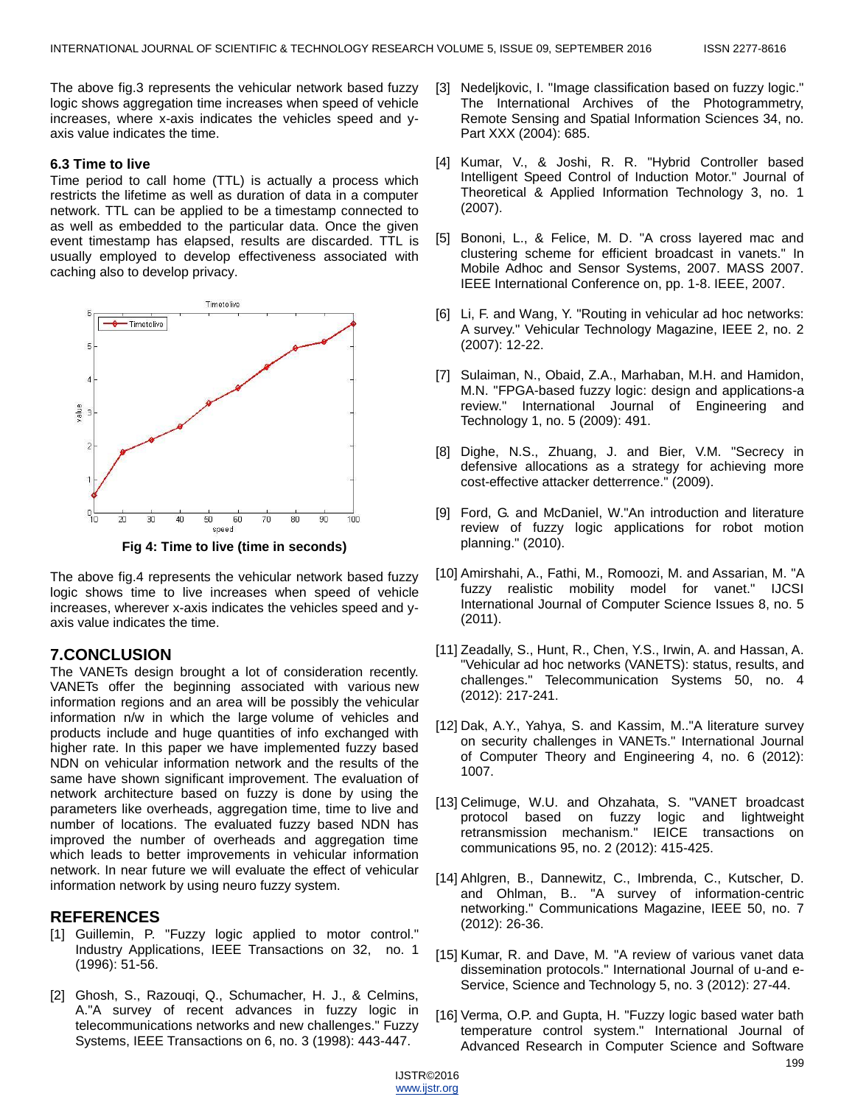The above fig.3 represents the vehicular network based fuzzy logic shows aggregation time increases when speed of vehicle increases, where x-axis indicates the vehicles speed and yaxis value indicates the time.

#### **6.3 Time to live**

Time period to call home (TTL) is actually a process which restricts the lifetime as well as duration of data in a computer network. TTL can be applied to be a timestamp connected to as well as embedded to the particular data. Once the given event timestamp has elapsed, results are discarded. TTL is usually employed to develop effectiveness associated with caching also to develop privacy.



**Fig 4: Time to live (time in seconds)**

The above fig.4 represents the vehicular network based fuzzy logic shows time to live increases when speed of vehicle increases, wherever x-axis indicates the vehicles speed and yaxis value indicates the time.

## **7.CONCLUSION**

The VANETs design brought a lot of consideration recently. VANETs offer the beginning associated with various new information regions and an area will be possibly the vehicular information n/w in which the large volume of vehicles and products include and huge quantities of info exchanged with higher rate. In this paper we have implemented fuzzy based NDN on vehicular information network and the results of the same have shown significant improvement. The evaluation of network architecture based on fuzzy is done by using the parameters like overheads, aggregation time, time to live and number of locations. The evaluated fuzzy based NDN has improved the number of overheads and aggregation time which leads to better improvements in vehicular information network. In near future we will evaluate the effect of vehicular information network by using neuro fuzzy system.

## **REFERENCES**

- [1] Guillemin, P. "Fuzzy logic applied to motor control." Industry Applications, IEEE Transactions on 32, no. 1 (1996): 51-56.
- [2] Ghosh, S., Razouqi, Q., Schumacher, H. J., & Celmins, A."A survey of recent advances in fuzzy logic in telecommunications networks and new challenges." Fuzzy Systems, IEEE Transactions on 6, no. 3 (1998): 443-447.
- [3] Nedeljkovic, I. "Image classification based on fuzzy logic." The International Archives of the Photogrammetry, Remote Sensing and Spatial Information Sciences 34, no. Part XXX (2004): 685.
- [4] Kumar, V., & Joshi, R. R. "Hybrid Controller based Intelligent Speed Control of Induction Motor." Journal of Theoretical & Applied Information Technology 3, no. 1 (2007).
- [5] Bononi, L., & Felice, M. D. "A cross layered mac and clustering scheme for efficient broadcast in vanets." In Mobile Adhoc and Sensor Systems, 2007. MASS 2007. IEEE International Conference on, pp. 1-8. IEEE, 2007.
- [6] Li, F. and Wang, Y. "Routing in vehicular ad hoc networks: A survey." Vehicular Technology Magazine, IEEE 2, no. 2 (2007): 12-22.
- [7] Sulaiman, N., Obaid, Z.A., Marhaban, M.H. and Hamidon, M.N. "FPGA-based fuzzy logic: design and applications-a review." International Journal of Engineering and Technology 1, no. 5 (2009): 491.
- [8] Dighe, N.S., Zhuang, J. and Bier, V.M. "Secrecy in defensive allocations as a strategy for achieving more cost-effective attacker detterrence." (2009).
- [9] Ford, G. and McDaniel, W."An introduction and literature review of fuzzy logic applications for robot motion planning." (2010).
- [10] Amirshahi, A., Fathi, M., Romoozi, M. and Assarian, M. "A fuzzy realistic mobility model for vanet." IJCSI International Journal of Computer Science Issues 8, no. 5 (2011).
- [11] Zeadally, S., Hunt, R., Chen, Y.S., Irwin, A. and Hassan, A. "Vehicular ad hoc networks (VANETS): status, results, and challenges." Telecommunication Systems 50, no. 4 (2012): 217-241.
- [12] Dak, A.Y., Yahya, S. and Kassim, M.."A literature survey on security challenges in VANETs." International Journal of Computer Theory and Engineering 4, no. 6 (2012): 1007.
- [13] Celimuge, W.U. and Ohzahata, S. "VANET broadcast protocol based on fuzzy logic and lightweight retransmission mechanism." IEICE transactions on communications 95, no. 2 (2012): 415-425.
- [14] Ahlgren, B., Dannewitz, C., Imbrenda, C., Kutscher, D. and Ohlman, B.. "A survey of information-centric networking." Communications Magazine, IEEE 50, no. 7 (2012): 26-36.
- [15] Kumar, R. and Dave, M. "A review of various vanet data dissemination protocols." International Journal of u-and e-Service, Science and Technology 5, no. 3 (2012): 27-44.
- [16] Verma, O.P. and Gupta, H. "Fuzzy logic based water bath temperature control system." International Journal of Advanced Research in Computer Science and Software